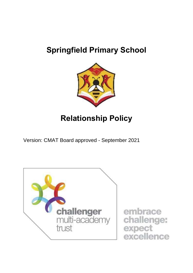# **Springfield Primary School**



# **Relationship Policy**

Version: CMAT Board approved - September 2021

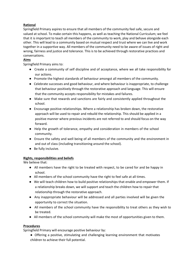## **Rational**

Springfield Primary aspires to ensure that all members of the community feel safe, secure and valued at school. To make certain this happens, as well as teaching the National Curriculum; we feel that it is important to teach all members of the community to work, play and behave alongside each other. This will lead to a community based on mutual respect and trust where we can live and work together in a supportive way. All members of the community need to be aware of issues of right and wrong, fairness and justice and tolerance. This is to be achieved through restorative practices and conversations.

## **Aims**

Springfield Primary aims to:

- Create a community of self discipline and of acceptance, where we all take responsibility for our actions.
- Promote the highest standards of behaviour amongst all members of the community.
- Celebrate successes and good behaviour, and where behaviour is inappropriate, to challenge that behaviour positively through the restorative approach and language. This will ensure that the community accepts responsibility for mistakes and failures.
- Make sure that rewards and sanctions are fairly and consistently applied throughout the school.
- Encourage positive relationships. Where a relationship has broken down, the restorative approach will be used to repair and rebuild the relationship. This should be applied in a positive manner where previous incidents are not referred to and should focus on the way forward.
- Help the growth of tolerance, empathy and consideration in members of the school community.
- Ensure the safety and well being of all members of the community and the environment in and out of class (including transitioning around the school).
- Be fully inclusive.

## **Rights, responsibilities and beliefs**

We believe that:

- All members have the right to be treated with respect, to be cared for and be happy in school.
- All members of the school community have the right to feel safe at all times.
- We will teach children how to build positive relationships that enable and empower them. If a relationship breaks down, we will support and teach the children how to repair that relationship through the restorative approach.
- Any inappropriate behaviour will be addressed and all parties involved will be given the opportunity to correct the situation.
- All members of the school community have the responsibility to treat others as they wish to be treated.
- All members of the school community will make the most of opportunities given to them.

## **Procedures**

Springfield Primary will encourage positive behaviour by:

● Offering a positive, stimulating and challenging learning environment that motivates children to achieve their full potential.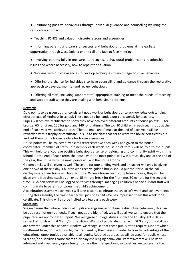- Reinforcing positive behaviours through individual guidance and counselling by using the restorative approach.
- Teaching PSHCE and values in discrete lessons and assemblies.
- Informing parents and carers of success and behavioural problems at the earliest opportunity through Class Dojo, a phone call or a face to face meeting.
- Involving parents fully in measures to recognise behavioural problems and relationship issues and where necessary, how to repair the situation.
- Working with outside agencies to develop techniques to encourage positive behaviour.
- Offering the chance for individuals to have counselling and guidance through the restorative approach to develop, monitor and review behaviour.
- Offering all staff, including support staff, appropriate training to meet the needs of teaching and support staff when they are dealing with behaviour problems

#### **Rewards**

Dojo points to be given out for consistent good work or behaviour, or to acknowledge outstanding effort or acts of kindness in school. These need to be handed out consistently by teachers. Pupils will achieve certificates to show they have achieved different amounts of house points: 30 for bronze, 60 for silver, 100 for gold and 140 for platinum. The top 10 children in each year group at the end of each year will achieve a prize. The top male and female at the end of each year will be rewarded with a trophy or certificate. It is up to the class teacher to write the house certificates out and get them to the house leaders for house assemblies.

House points will be collected by a class representative each week and given to the house coordinator (member of staff). In assembly each week, house point totals will be told to the pupils. This will help to encourage positive behaviour, a sense of belonging and community spirit within the school. At the end of each term, the house with the most points will win a mufti day and at the end of the year, the house with the most points will win the house trophy.

Golden bricks will be given as well. These are for outstanding work and a teacher will only be giving one or two of these a day. Children who receive golden bricks should put their brick in the hall display where their bricks will build a house. When a house team completes a house, they will be given extra free time (such as an extra 15 minute break for the first time, 30 minute for the second time...) Golden bricks will be logged on to Sims through managing children's behaviour and staff will communicate to parents or carers the child's achievement.

A celebration assembly each week will take place to celebrate the children's work and achievements. During this assembly the class teacher will pick one child who has impressed them this week for a certificate. This child will also be invited to a tea party each week.

#### **Sanctions**

We recognise that where individual pupils are engaging in continuing disruptive behaviour, this can be as a result of unmet needs. If such needs are identified, we will do all we can to ensure that the pupil receives appropriate support. We recognise our legal duties under the Equality Act 2010 in respect of pupils with SEN and/or disabilities. Whilst all pupils identified with SEN and/or disabilities are covered under this behaviour policy, we recognise that these pupils often require support which is different from, or in addition to, that required by their peers, in order to take full advantage of the educational opportunities available to all pupils. Adapted approaches will be used for pupils whose SEN and/or disabilities cause them to display challenging behaviour. Parents/carers will be kept informed and given every opportunity to share their perspectives, so together we can ensure the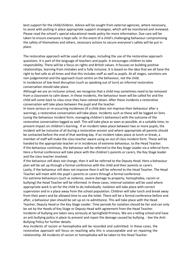best support for the child/children. Advice will be sought from external agencies, where necessary, to assist with putting in place appropriate support strategies, which will be monitored and reviewed. Please read the school's special educational needs policy for more information. Due care will be taken to ensure everyone is kept safe. In the event of a child's challenging behaviour compromising the safety of themselves and others, necessary actions to secure everyone's safety will be put in place.

The restorative approach will be used at all stages, including the use of the restorative approach questions. It is part of the language of teachers and pupils. It encourages children to take responsibility. There will be a focus on rights and British values. It focuses on building positive relationships, learning from mistakes and is fully inclusive. It is based on the idea that we all have the right to feel safe at all times and that this includes staff as well as pupils. At all stages, sanctions are non-judgemental and the approach must centre on the behaviour, not the child. In incidences of low-level disruption (such as speaking out of turn) an informal restorative

conversation should take place.

Although we are an inclusive school, we recognise that a child may sometimes need to be removed from a classroom to calm down. In these incidents, the behaviour team will be called for and the child will come back to class once they have calmed down. After these incidents a restorative conversation will take place between the pupil and the teacher.

In more serious or re-occurring incidences (if a child does not improve their behaviour after a warning), a restorative conversation will take place. Incidents such as these will be logged on Sims (using the behaviour incident form, managing children's behaviour) with the outcome of the restorative conversation logged as well. This will take place as soon as possible, at a suitable time, to prevent impact on children's learning. If an incident takes place between two or more pupils, the incident will be inclusive of all during a restorative session and where appropriate all parents should be contacted before the end of that working day. If an incident takes place at lunch or break, a member of staff will make the class teacher aware using an out of class incident form. These will be handed to the appropriate teacher or in incidences of extreme behaviour, to the Head Teacher. If the behaviour continues, the behaviour will be referred to the Key Stage Leader via a referral form. Here a formal conference will take place with the children's parents or carers, the Key Stage leader and the class teacher involved.

If the behaviour still does not change, then it will be referred to the Deputy Head. Here a behaviour plan will be set up through a formal conference with the child and their parents or carers. Lastly, if the behaviour still does not improve then it will be referred to the Head Teacher. The Head Teacher will meet with the pupil`s parents or carers through a formal conference For extreme behaviours (such as violence, severe damage to property, homophobia, racism or bullying) the Head Teacher will be informed. In these cases, internal isolation will be used where appropriate work is set for the child to do individually. Isolation will take place with correct supervision and in a place away from the school population. Children will take lunch and break away from their peers and be allowed time to use the toilet. There will be a formal conference before and after, a behaviour plan should be set up on re-admittance. This will take place with the Head Teacher, Deputy Head or the Key Stage Leader. Time periods for isolation should be fair and can only be set by the Heads of Key Stage or Deputy Head with agreement from the Head Teacher. Incidents of bullying are taken very seriously at Springfield Primary. We are a telling school and have an anti bullying policy in place to prevent and repair the damage caused by bullying. - See the Anti-Bullying Policy for further details.

Any incidents of racism or homophobia will be recorded and submitted. In these cases, the restorative approach will focus on teaching why this is unacceptable and on repairing the relationship. All incidents of racism or homophobia will be taken to the Head Teacher.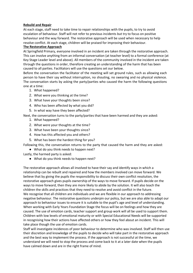#### **Rebuild and Repair**

At each stage, staff need to take time to repair relationships with the pupils, to try to avoid escalation of behaviour. Staff will not refer to previous incidents but try to focus on positive behaviour and the way forward. The restorative approach will be used when necessary to help resolve conflict. At each stage, children will be praised for improving their behaviour.

#### **The Restorative Approach**

At Springfield Primary, everyone involved in an incident are taken through the restorative approach. This can involve anything from an informal conversation (at teacher level) to a formal conference (at Key Stage Leader level and above). All members of the community involved in the incident are taken through the questions in order, therefore creating an understanding of the harm that has been caused to all parties. Facilitators will use the questions set our below.

Before the conversation the facilitator of the meeting will set ground rules, such as allowing each person to have their say without interruption, no shouting, no swearing and no physical violence. The conversation starts by asking the party/parties who caused the harm the following questions one at a time:

- 1. What happened?
- 2. What were you thinking at the time?
- 3. What have your thoughts been since?
- 4. Who has been affected by what you did?
- 5. In what way have they been affected?

Next, the conversation turns to the party/parties that have been harmed and they are asked:

- 1. What happened?
- 2. What were your thoughts at the time?
- 3. What have been your thoughts since?
- 4. How has this affected you and others?
- 5. What has been the hardest thing for you?

Following this, the conversation returns to the party that caused the harm and they are asked:

● What do you think needs to happen next?

Lastly, the harmed party is asked:

● What do you think needs to happen next?

The restorative approach allows all involved to have their say and identify ways in which a relationship can be rebuilt and repaired and how the members involved can move forward. We believe that by giving the pupils the responsibility to discuss their own conflict resolution, the restorative approach gives pupils ownership of the ways to move forward. If pupils decide on the ways to move forward, then they are more likely to abide by the solution. It will also teach the children the skills and practices that they need to resolve and avoid conflict in the future. We recognise that all children are individuals and we are flexible in our approach to addressing negative behaviour. The restorative questions underpin our policy, but we are also able to adapt our approach to behaviour issues to ensure it is suitable to the pupil's age and level of understanding. When working with Early Years Foundation Stage the focus will be on feelings and how they are caused. The use of emotion cards, teacher support and group work will all be used to support them. Children with low levels of emotional maturity or with Special Educational Needs will be supported in recognising how their actions have affected others or how they feel about an incident. This will take place though the use of emotion cards.

Staff will investigate incidences of poor behaviour to determine who was involved. Staff will then use their discretion and knowledge of the pupils to decide who will take part in the restorative approach and the best way to implement the process. If the approach is not successful at the time, we understand we will need to stop the process and come back to it at a later date when the pupils have calmed down and are in the right frame of mind.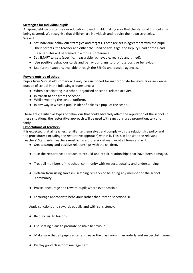## **Strategies for individual pupils**

At Springfield we customise our education to each child, making sure that the National Curriculum is being covered. We recognise that children are individuals and require their own strategies. We will

- Set individual behaviour strategies and targets. These are set in agreement with the pupil, their parents, the teacher and either the Head of Key Stage, the Deputy Head or the Head Teacher. This will be framed in a formal conference.
- Set SMART targets (specific, measurable, achievable, realistic and timed).
- Use positive behaviour cards and behaviour plans to promote positive behaviour.
- Use further support, available through the SENCo and outside agencies.

## **Powers outside of school**

Pupils from Springfield Primary will only be sanctioned for inappropriate behaviours or incidences outside of school in the following circumstances:

- When participating in a school-organised or school related activity.
- In transit to and from the school.
- Whilst wearing the school uniform.
- In any way in which a pupil is identifiable as a pupil of the school.

These are classified as types of behaviour that could adversely affect the reputation of the school. In these situations, the restorative approach will be used with sanctions used proportionately and fairly.

#### **Expectations of teachers**

It is expected that all teachers familiarise themselves and comply with the relationship policy and the procedures (including the restorative approach) within it. This is in line with the relevant Teachers' Standards. Teachers must act in a professional manner at all times and will:

- Create strong and positive relationships with the children.
- Use the restorative approach to rebuild and repair relationships that have been damaged.
- Treat all members of the school community with respect, equality and understanding.
- Refrain from using sarcasm, scathing remarks or belittling any member of the school community.
- Praise, encourage and reward pupils where ever possible.
- Encourage appropriate behaviour rather than rely on sanctions. ●

Apply sanctions and rewards equally and with consistency.

- Be punctual to lessons.
- Use seating plans to promote positive behaviour.
- Make sure that all pupils enter and leave the classroom in an orderly and respectful manner.
- Display good classroom management.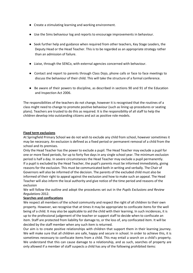- Create a stimulating learning and working environment.
- Use the Sims behaviour log and reports to encourage improvements in behaviour.
- Seek further help and guidance when required from other teachers, Key Stage Leaders, the Deputy Head or the Head Teacher. This is to be regarded as an appropriate strategy rather than an admission of failure.
- Liaise, through the SENCo, with external agencies concerned with behaviour.
- Contact and report to parents through Class Dojo, phone calls or face to face meetings to discuss the behaviour of their child. This will take the structure of a formal conference.
- Be aware of their powers to discipline, as described in sections 90 and 91 of the Education and Inspection Act 2006.

The responsibilities of the teachers do not change, however it is recognised that the routines of a class might need to change to promote positive behaviour (such as lining up procedures or seating plans). Teachers are trusted to do this as required. It is the responsibility of all staff to help the children develop into outstanding citizens and act as positive role models.

#### **Fixed term exclusions**

At Springfield Primary School we do not wish to exclude any child from school, however sometimes it may be necessary. An exclusion is defined as a fixed period or permanent removal of a child from the school and its premises.

Only the Head Teacher has the power to exclude a pupil. The Head Teacher may exclude a pupil for one or more fixed periods, for up to forty five days in any single school year. The minimum exclusion period is half a day. In severe circumstances the Head Teacher may exclude a pupil permanently. If a pupil is excluded by the Head Teacher, the pupil's parents must be informed immediately, giving reasons for the exclusion. This must be communicated both in writing and verbally. The Chair of Governors will also be informed of the decision. The parents of the excluded child must also be informed of their right to appeal against the exclusion and how to make such an appeal. The Head Teacher will also inform the local authority and give notice of the time period and reasons of the exclusion

We will follow the outline and adopt the procedures set out in the *Pupils Exclusions and Review Regulations* 2012.

## **Searches and confiscations**

We respect all members of the school community and respect the right of all children to their own property. However, we recognise that at times it may be appropriate to confiscate items for the well being of a child. It may also be applicable to aid the child with their learning. In such incidences, it is up to the professional judgement of the teacher or support staff to decide when to confiscate an item. Staff are protected from liability for damage to, or the loss of, any confiscated item. It will be decided by the staff member when any such item is returned.

Our aim is to create positive relationships with children that support them in their learning journey. We will make sure that all children are safe, happy and secure in school. In order to achieve this, it is sometimes necessary to confiscate items from a child. This may entail a search on a child's property. We understand that this can cause damage to a relationship, and as such, searches of property are only allowed if a member of staff suspects a child has any of the following prohibited items: